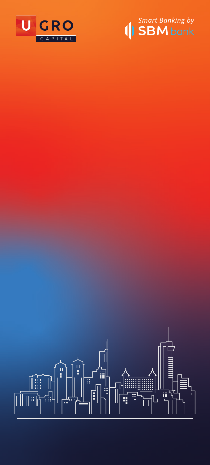



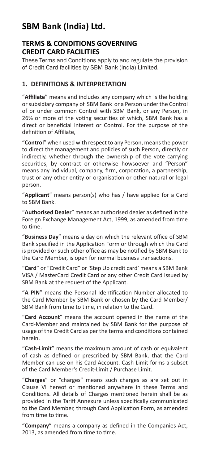# **SBM Bank (India) Ltd.**

# **TERMS & CONDITIONS GOVERNING CREDIT CARD FACILITIES**

These Terms and Conditions apply to and regulate the provision of Credit Card facilities by SBM Bank (India) Limited.

### **1. DEFINITIONS & INTERPRETATION**

"**Affiliate**" means and includes any company which is the holding or subsidiary company of SBM Bank or a Person under the Control of or under common Control with SBM Bank, or any Person, in 26% or more of the voting securities of which, SBM Bank has a direct or beneficial interest or Control. For the purpose of the definition of Affiliate,

"**Control**" when used with respect to any Person, means the power to direct the management and policies of such Person, directly or indirectly, whether through the ownership of the vote carrying securities, by contract or otherwise howsoever and "Person" means any individual, company, firm, corporation, a partnership, trust or any other entity or organisation or other natural or legal person.

"**Applicant**" means person(s) who has / have applied for a Card to SBM Bank.

"**Authorised Dealer**" means an authorised dealer as defined in the Foreign Exchange Management Act, 1999, as amended from time to time.

"**Business Day**" means a day on which the relevant office of SBM Bank specified in the Application Form or through which the Card is provided or such other office as may be notified by SBM Bank to the Card Member, is open for normal business transactions.

"**Card**" or "Credit Card" or 'Step Up credit card' means a SBM Bank VISA / MasterCard Credit Card or any other Credit Card issued by SBM Bank at the request of the Applicant.

"**A PIN**" means the Personal Identification Number allocated to the Card Member by SBM Bank or chosen by the Card Member/ SBM Bank from time to time, in relation to the Card.

"**Card Account**" means the account opened in the name of the Card-Member and maintained by SBM Bank for the purpose of usage of the Credit Card as per the terms and conditions contained herein.

"**Cash-Limit**" means the maximum amount of cash or equivalent of cash as defined or prescribed by SBM Bank, that the Card Member can use on his Card Account. Cash-Limit forms a subset of the Card Member's Credit-Limit / Purchase Limit.

"**Charges**" or "charges" means such charges as are set out in Clause VI hereof or mentioned anywhere in these Terms and Conditions. All details of Charges mentioned herein shall be as provided in the Tariff Annexure unless specifically communicated to the Card Member, through Card Application Form, as amended from time to time.

"**Company**" means a company as defined in the Companies Act, 2013, as amended from time to time.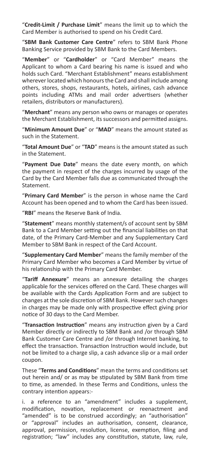"**Credit-Limit / Purchase Limit**" means the limit up to which the Card Member is authorised to spend on his Credit Card.

"**SBM Bank Customer Care Centre**" refers to SBM Bank Phone Banking Service provided by SBM Bank to the Card Members.

"**Member**" or "**Cardholder**" or "Card Member" means the Applicant to whom a Card bearing his name is issued and who holds such Card. "Merchant Establishment" means establishment wherever located which honours the Card and shall include among others, stores, shops, restaurants, hotels, airlines, cash advance points including ATMs and mail order advertisers (whether retailers, distributors or manufacturers).

"**Merchant**" means any person who owns or manages or operates the Merchant Establishment, its successors and permitted assigns.

"**Minimum Amount Due**" or "**MAD**" means the amount stated as such in the Statement.

"**Total Amount Due**" or "**TAD**" means is the amount stated as such in the Statement.

"**Payment Due Date**" means the date every month, on which the payment in respect of the charges incurred by usage of the Card by the Card Member falls due as communicated through the Statement.

"**Primary Card Member**" is the person in whose name the Card Account has been opened and to whom the Card has been issued.

"**RBI**" means the Reserve Bank of India.

"**Statement**" means monthly statement/s of account sent by SBM Bank to a Card Member setting out the financial liabilities on that date, of the Primary Card-Member and any Supplementary Card Member to SBM Bank in respect of the Card Account.

"**Supplementary Card Member**" means the family member of the Primary Card Member who becomes a Card Member by virtue of his relationship with the Primary Card Member.

"**Tariff Annexure**" means an annexure detailing the charges applicable for the services offered on the Card. These charges will be available with the Cards Application Form and are subject to changes at the sole discretion of SBM Bank. However such changes in charges may be made only with prospective effect giving prior notice of 30 days to the Card Member.

"**Transaction Instruction**" means any instruction given by a Card Member directly or indirectly to SBM Bank and /or through SBM Bank Customer Care Centre and /or through Internet banking, to effect the transaction. Transaction Instruction would include, but not be limited to a charge slip, a cash advance slip or a mail order coupon.

These "**Terms and Conditions**" mean the terms and conditions set out herein and/ or as may be stipulated by SBM Bank from time to time, as amended. In these Terms and Conditions, unless the contrary intention appears:-

i. a reference to an "amendment" includes a supplement, modification, novation, replacement or reenactment and "amended" is to be construed accordingly; an "authorisation" or "approval" includes an authorisation, consent, clearance, approval, permission, resolution, license, exemption, filing and registration; "law" includes any constitution, statute, law, rule,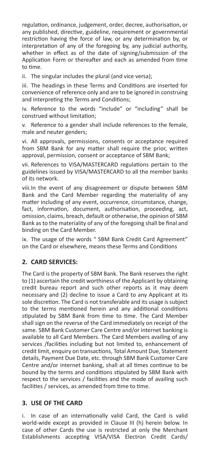regulation, ordinance, judgement, order, decree, authorisation, or any published, directive, guideline, requirement or governmental restriction having the force of law, or any determination by, or interpretation of any of the foregoing by, any judicial authority, whether in effect as of the date of signing/submission of the Application Form or thereafter and each as amended from time to time.

ii. The singular includes the plural (and vice versa);

iii. The headings in these Terms and Conditions are inserted for convenience of reference only and are to be ignored in construing and interpreting the Terms and Conditions;

iv. Reference to the words "include" or "including" shall be construed without limitation;

v. Reference to a gender shall include references to the female, male and neuter genders;

vi. All approvals, permissions, consents or acceptance required from SBM Bank for any matter shall require the prior, written approval, permission, consent or acceptance of SBM Bank;

vii. References to VISA/MASTERCARD regulations pertain to the guidelines issued by VISA/MASTERCARD to all the member banks of its network.

viii.In the event of any disagreement or dispute between SBM Bank and the Card Member regarding the materiality of any matter including of any event, occurrence, circumstance, change, fact, information, document, authorisation, proceeding, act, omission, claims, breach, default or otherwise, the opinion of SBM Bank as to the materiality of any of the foregoing shall be final and binding on the Card Member.

ix. The usage of the words " SBM Bank Credit Card Agreement" on the Card or elsewhere, means these Terms and Conditions

#### **2. CARD SERVICES:**

The Card is the property of SBM Bank. The Bank reserves the right to (1) ascertain the credit worthiness of the Applicant by obtaining credit bureau report and such other reports as it may deem necessary and (2) decline to issue a Card to any Applicant at its sole discretion. The Card is not transferable and its usage is subject to the terms mentioned herein and any additional conditions stipulated by SBM Bank from time to time. The Card Member shall sign on the reverse of the Card immediately on receipt of the same. SBM Bank Customer Care Centre and/or internet banking is available to all Card Members. The Card Members availing of any services /facilities including but not limited to, enhancement of credit limit, enquiry on transactions, Total Amount Due, Statement details, Payment Due Date, etc. through SBM Bank Customer Care Centre and/or internet banking, shall at all times continue to be bound by the terms and conditions stipulated by SBM Bank with respect to the services / facilities and the mode of availing such facilities / services, as amended from time to time.

### **3. USE OF THE CARD**

i. In case of an internationally valid Card, the Card is valid world-wide except as provided in Clause III (h) herein below. In case of other Cards the use is restricted at only the Merchant Establishments accepting VISA/VISA Electron Credit Cards/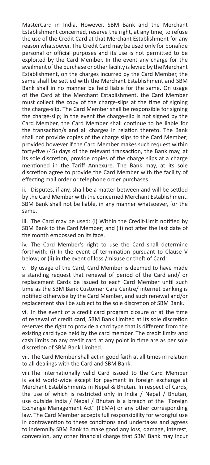MasterCard in India. However, SBM Bank and the Merchant Establishment concerned, reserve the right, at any time, to refuse the use of the Credit Card at that Merchant Establishment for any reason whatsoever. The Credit Card may be used only for bonafide personal or official purposes and its use is not permitted to be exploited by the Card Member. In the event any charge for the availment of the purchase or other facility is levied by the Merchant Establishment, on the charges incurred by the Card Member, the same shall be settled with the Merchant Establishment and SBM Bank shall in no manner be held liable for the same. On usage of the Card at the Merchant Establishment, the Card Member must collect the copy of the charge-slips at the time of signing the charge-slip. The Card Member shall be responsible for signing the charge-slip; in the event the charge-slip is not signed by the Card Member, the Card Member shall continue to be liable for the transaction/s and all charges in relation thereto. The Bank shall not provide copies of the charge slips to the Card Member; provided however if the Card Member makes such request within forty-five (45) days of the relevant transaction, the Bank may, at its sole discretion, provide copies of the charge slips at a charge mentioned in the Tariff Annexure. The Bank may, at its sole discretion agree to provide the Card Member with the facility of effecting mail order or telephone order purchases.

ii. Disputes, if any, shall be a matter between and will be settled by the Card Member with the concerned Merchant Establishment. SBM Bank shall not be liable, in any manner whatsoever, for the same.

iii. The Card may be used: (i) Within the Credit-Limit notified by SBM Bank to the Card Member; and (ii) not after the last date of the month embossed on its face.

iv. The Card Member's right to use the Card shall determine forthwith: (i) In the event of termination pursuant to Clause V below; or (ii) in the event of loss /misuse or theft of Card.

v. By usage of the Card, Card Member is deemed to have made a standing request that renewal of period of the Card and/ or replacement Cards be issued to each Card Member until such time as the SBM Bank Customer Care Centre/ internet banking is notified otherwise by the Card Member, and such renewal and/or replacement shall be subject to the sole discretion of SBM Bank.

vi. In the event of a credit card program closure or at the time of renewal of credit card, SBM Bank Limited at its sole discretion reserves the right to provide a card type that is different from the existing card type held by the card member. The credit limits and cash limits on any credit card at any point in time are as per sole discretion of SBM Bank Limited.

vii. The Card Member shall act in good faith at all times in relation to all dealings with the Card and SBM Bank.

viii.The internationally valid Card issued to the Card Member is valid world-wide except for payment in foreign exchange at Merchant Establishments in Nepal & Bhutan. In respect of Cards, the use of which is restricted only in India / Nepal / Bhutan, use outside India / Nepal / Bhutan is a breach of the "Foreign Exchange Management Act" (FEMA) or any other corresponding law. The Card Member accepts full responsibility for wrongful use in contravention to these conditions and undertakes and agrees to indemnify SBM Bank to make good any loss, damage, interest, conversion, any other financial charge that SBM Bank may incur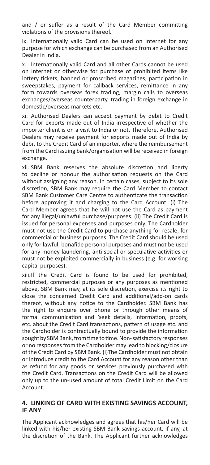and / or suffer as a result of the Card Member committing violations of the provisions thereof.

ix. Internationally valid Card can be used on Internet for any purpose for which exchange can be purchased from an Authorised Dealer in India.

x. Internationally valid Card and all other Cards cannot be used on Internet or otherwise for purchase of prohibited items like lottery tickets, banned or proscribed magazines, participation in sweepstakes, payment for callback services, remittance in any form towards overseas forex trading, margin calls to overseas exchanges/overseas counterparty, trading in foreign exchange in domestic/overseas markets etc.

xi. Authorised Dealers can accept payment by debit to Credit Card for exports made out of India irrespective of whether the importer client is on a visit to India or not. Therefore, Authorised Dealers may receive payment for exports made out of India by debit to the Credit Card of an importer, where the reimbursement from the Card issuing bank/organisation will be received in foreign exchange.

xii. SBM Bank reserves the absolute discretion and liberty to decline or honour the authorisation requests on the Card without assigning any reason. In certain cases, subject to its sole discretion, SBM Bank may require the Card Member to contact SBM Bank Customer Care Centre to authenticate the transaction before approving it and charging to the Card Account. (i) The Card Member agrees that he will not use the Card as payment for any illegal/unlawful purchase/purposes. (ii) The Credit Card is issued for personal expenses and purposes only. The Cardholder must not use the Credit Card to purchase anything for resale, for commercial or business purposes. The Credit Card should be used only for lawful, bonafide personal purposes and must not be used for any money laundering, anti-social or speculative activities or must not be exploited commercially in business (e.g. for working capital purposes).

xiii.If the Credit Card is found to be used for prohibited, restricted, commercial purposes or any purposes as mentioned above, SBM Bank may, at its sole discretion, exercise its right to close the concerned Credit Card and additional/add-on cards thereof, without any notice to the Cardholder. SBM Bank has the right to enquire over phone or through other means of formal communication and 'seek details, information, proofs, etc. about the Credit Card transactions, pattern of usage etc. and the Cardholder is contractually bound to provide the information sought by SBM Bank, from time to time. Non- satisfactory responses or no responses from the Cardholder may lead to blocking/closure of the Credit Card by SBM Bank. (i)The Cardholder must not obtain or introduce credit to the Card Account for any reason other than as refund for any goods or services previously purchased with the Credit Card. Transactions on the Credit Card will be allowed only up to the un-used amount of total Credit Limit on the Card Account.

#### **4. LINKING OF CARD WITH EXISTING SAVINGS ACCOUNT, IF ANY**

The Applicant acknowledges and agrees that his/her Card will be linked with his/her existing SBM Bank savings account, if any, at the discretion of the Bank. The Applicant further acknowledges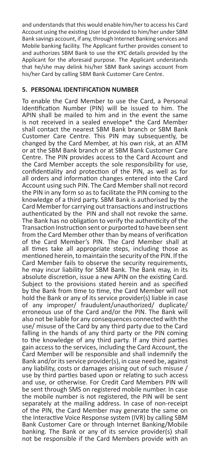and understands that this would enable him/her to access his Card Account using the existing User Id provided to him/her under SBM Bank savings account, if any, through Internet Banking services and Mobile banking facility. The Applicant further provides consent to and authorizes SBM Bank to use the KYC details provided by the Applicant for the aforesaid purpose. The Applicant understands that he/she may delink his/her SBM Bank savings account from his/her Card by calling SBM Bank Customer Care Centre.

#### **5. PERSONAL IDENTIFICATION NUMBER**

To enable the Card Member to use the Card, a Personal Identification Number (PIN) will be issued to him. The APIN shall be mailed to him and in the event the same is not received in a sealed envelope\* the Card Member shall contact the nearest SBM Bank branch or SBM Bank Customer Care Centre. This PIN may subsequently, be changed by the Card Member, at his own risk, at an ATM or at the SBM Bank branch or at SBM Bank Customer Care Centre. The PIN provides access to the Card Account and the Card Member accepts the sole responsibility for use, confidentiality and protection of the PIN, as well as for all orders and information changes entered into the Card Account using such PIN. The Card Member shall not record the PIN in any form so as to facilitate the PIN coming to the knowledge of a third party. SBM Bank is authorised by the Card Member for carrying out transactions and instructions authenticated by the PIN and shall not revoke the same. The Bank has no obligation to verify the authenticity of the Transaction Instruction sent or purported to have been sent from the Card Member other than by means of verification of the Card Member's PIN. The Card Member shall at all times take all appropriate steps, including those as mentioned herein, to maintain the security of the PIN. If the Card Member fails to observe the security requirements, he may incur liability for SBM Bank. The Bank may, in its absolute discretion, issue a new APIN on the existing Card. Subject to the provisions stated herein and as specified by the Bank from time to time, the Card Member will not hold the Bank or any of its service provider(s) liable in case of any improper/ fraudulent/unauthorized/ duplicate/ erroneous use of the Card and/or the PIN. The Bank will also not be liable for any consequences connected with the use/ misuse of the Card by any third party due to the Card falling in the hands of any third party or the PIN coming to the knowledge of any third party. If any third parties gain access to the services, including the Card Account, the Card Member will be responsible and shall indemnify the Bank and/or its service provider(s), in case need be, against any liability, costs or damages arising out of such misuse / use by third parties based upon or relating to such access and use, or otherwise. For Credit Card Members PIN will be sent through SMS on registered mobile number. In case the mobile number is not registered, the PIN will be sent separately at the mailing address. In case of non-receipt of the PIN, the Card Member may generate the same on the Interactive Voice Response system (IVR) by calling SBM Bank Customer Care or through Internet Banking/Mobile banking. The Bank or any of its service provider(s) shall not be responsible if the Card Members provide with an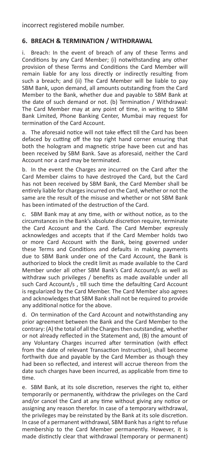incorrect registered mobile number.

## **6. BREACH & TERMINATION / WITHDRAWAL**

i. Breach: In the event of breach of any of these Terms and Conditions by any Card Member; (i) notwithstanding any other provision of these Terms and Conditions the Card Member will remain liable for any loss directly or indirectly resulting from such a breach; and (ii) The Card Member will be liable to pay SBM Bank, upon demand, all amounts outstanding from the Card Member to the Bank, whether due and payable to SBM Bank at the date of such demand or not. (b) Termination / Withdrawal: The Card Member may at any point of time, in writing to SBM Bank Limited, Phone Banking Center, Mumbai may request for termination of the Card Account.

a. The aforesaid notice will not take effect till the Card has been defaced by cutting off the top right hand corner ensuring that both the hologram and magnetic stripe have been cut and has been received by SBM Bank. Save as aforesaid, neither the Card Account nor a card may be terminated.

b. In the event the Charges are incurred on the Card after the Card Member claims to have destroyed the Card, but the Card has not been received by SBM Bank, the Card Member shall be entirely liable for charges incurred on the Card, whether or not the same are the result of the misuse and whether or not SBM Bank has been intimated of the destruction of the Card.

c. SBM Bank may at any time, with or without notice, as to the circumstances in the Bank's absolute discretion require, terminate the Card Account and the Card. The Card Member expressly acknowledges and accepts that if the Card Member holds two or more Card Account with the Bank, being governed under these Terms and Conditions and defaults in making payments due to SBM Bank under one of the Card Account, the Bank is authorized to block the credit limit as made available to the Card Member under all other SBM Bank's Card Account/s as well as withdraw such privileges / benefits as made available under all such Card Account/s , till such time the defaulting Card Account is regularized by the Card Member. The Card Member also agrees and acknowledges that SBM Bank shall not be required to provide any additional notice for the above.

d. On termination of the Card Account and notwithstanding any prior agreement between the Bank and the Card Member to the contrary: (A) the total of all the Charges then outstanding, whether or not already reflected in the Statement and, (B) the amount of any Voluntary Charges incurred after termination (with effect from the date of relevant Transaction Instruction), shall become forthwith due and payable by the Card Member as though they had been so reflected, and interest will accrue thereon from the date such charges have been incurred, as applicable from time to time.

e. SBM Bank, at its sole discretion, reserves the right to, either temporarily or permanently, withdraw the privileges on the Card and/or cancel the Card at any time without giving any notice or assigning any reason therefor. In case of a temporary withdrawal, the privileges may be reinstated by the Bank at its sole discretion. In case of a permanent withdrawal, SBM Bank has a right to refuse membership to the Card Member permanently. However, it is made distinctly clear that withdrawal (temporary or permanent)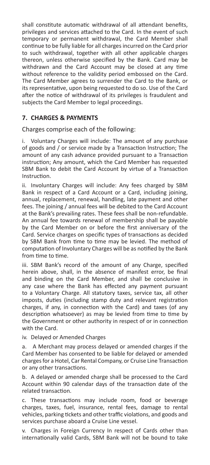shall constitute automatic withdrawal of all attendant benefits, privileges and services attached to the Card. In the event of such temporary or permanent withdrawal, the Card Member shall continue to be fully liable for all charges incurred on the Card prior to such withdrawal, together with all other applicable charges thereon, unless otherwise specified by the Bank. Card may be withdrawn and the Card Account may be closed at any time without reference to the validity period embossed on the Card. The Card Member agrees to surrender the Card to the Bank, or its representative, upon being requested to do so. Use of the Card after the notice of withdrawal of its privileges is fraudulent and subjects the Card Member to legal proceedings.

# **7. CHARGES & PAYMENTS**

Charges comprise each of the following:

Voluntary Charges will include: The amount of any purchase of goods and / or service made by a Transaction lnstruction; The amount of any cash advance provided pursuant to a Transaction instruction; Any amount, which the Card Member has requested SBM Bank to debit the Card Account by virtue of a Transaction Instruction.

ii. Involuntary Charges will include: Any fees charged by SBM Bank in respect of a Card Account or a Card, including joining, annual, replacement, renewal, handling, late payment and other fees. The joining / annual fees will be debited to the Card Account at the Bank's prevailing rates. These fees shall be non-refundable. An annual fee towards renewal of membership shall be payable by the Card Member on or before the first anniversary of the Card. Service charges on specific types of transactions as decided by SBM Bank from time to time may be levied. The method of computation of Involuntary Charges will be as notified by the Bank from time to time.

iii. SBM Bank's record of the amount of any Charge, specified herein above, shall, in the absence of manifest error, be final and binding on the Card Member, and shall be conclusive in any case where the Bank has effected any payment pursuant to a Voluntary Charge. All statutory taxes, service tax, all other imposts, duties (including stamp duty and relevant registration charges, if any, in connection with the Card) and taxes (of any description whatsoever) as may be levied from time to time by the Government or other authority in respect of or in connection with the Card.

iv. Delayed or Amended Charges

a. A Merchant may process delayed or amended charges if the Card Member has consented to be liable for delayed or amended charges for a Hotel, Car Rental Company, or Cruise Line Transaction or any other transactions.

b. A delayed or amended charge shall be processed to the Card Account within 90 calendar days of the transaction date of the related transaction.

c. These transactions may include room, food or beverage charges, taxes, fuel, insurance, rental fees, damage to rental vehicles, parking tickets and other traffic violations, and goods and services purchase aboard a Cruise Line vessel.

v. Charges in Foreign Currency In respect of Cards other than internationally valid Cards, SBM Bank will not be bound to take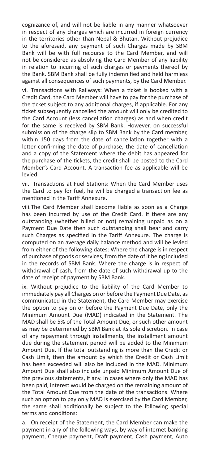cognizance of, and will not be liable in any manner whatsoever in respect of any charges which are incurred in foreign currency in the territories other than Nepal & Bhutan. Without prejudice to the aforesaid, any payment of such Charges made by SBM Bank will be with full recourse to the Card Member, and will not be considered as absolving the Card Member of any liability in relation to incurring of such charges or payments thereof by the Bank. SBM Bank shall be fully indemnified and held harmless against all consequences of such payments, by the Card Member.

vi. Transactions with Railways: When a ticket is booked with a Credit Card, the Card Member will have to pay for the purchase of the ticket subject to any additional charges, if applicable. For any ticket subsequently cancelled the amount will only be credited to the Card Account (less cancellation charges) as and when credit for the same is received by SBM Bank. However, on successful submission of the charge slip to SBM Bank by the Card member, within 150 days from the date of cancellation together with a letter confirming the date of purchase, the date of cancellation and a copy of the Statement where the debit has appeared for the purchase of the tickets, the credit shall be posted to the Card Member's Card Account. A transaction fee as applicable will be levied.

vii. Transactions at Fuel Stations: When the Card Member uses the Card to pay for fuel, he will be charged a transaction fee as mentioned in the Tariff Annexure.

viii.The Card Member shall become liable as soon as a Charge has been incurred by use of the Credit Card. If there are any outstanding (whether billed or not) remaining unpaid as on a Payment Due Date then such outstanding shall bear and carry such Charges as specified in the Tariff Annexure. The charge is computed on an average daily balance method and will be levied from either of the following dates: Where the charge is in respect of purchase of goods or services, from the date of it being included in the records of SBM Bank. Where the charge is in respect of withdrawal of cash, from the date of such withdrawal up to the date of receipt of payment by SBM Bank.

ix. Without prejudice to the liability of the Card Member to immediately pay all Charges on or before the Payment Due Date, as communicated in the Statement, the Card Member may exercise the option to pay on or before the Payment Due Date, only the Minimum Amount Due (MAD) indicated in the Statement. The MAD shall be 5% of the Total Amount Due, or such other amount as may be determined by SBM Bank at its sole discretion. In case of any repayment through installments, the installment amount due during the statement period will be added to the Minimum Amount Due. If the total outstanding is more than the Credit or Cash Limit, then the amount by which the Credit or Cash Limit has been exceeded will also be included in the MAD. Minimum Amount Due shall also include unpaid Minimum Amount Due of the previous statements, if any. In cases where only the MAD has been paid, interest would be charged on the remaining amount of the Total Amount Due from the date of the transactions. Where such an option to pay only MAD is exercised by the Card Member, the same shall additionally be subject to the following special terms and conditions:

a. On receipt of the Statement, the Card Member can make the payment in any of the following ways, by way of internet banking payment, Cheque payment, Draft payment, Cash payment, Auto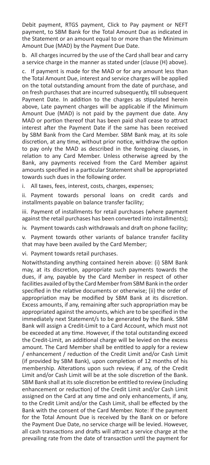Debit payment, RTGS payment, Click to Pay payment or NEFT payment, to SBM Bank for the Total Amount Due as indicated in the Statement or an amount equal to or more than the Minimum Amount Due (MAD) by the Payment Due Date.

b. All charges incurred by the use of the Card shall bear and carry a service charge in the manner as stated under (clause (H) above).

c. If payment is made for the MAD or for any amount less than the Total Amount Due, interest and service charges will be applied on the total outstanding amount from the date of purchase, and on fresh purchases that are incurred subsequently, till subsequent Payment Date. In addition to the charges as stipulated herein above, Late payment charges will be applicable if the Minimum Amount Due (MAD) is not paid by the payment due date. Any MAD or portion thereof that has been paid shall cease to attract interest after the Payment Date if the same has been received by SBM Bank from the Card Member. SBM Bank may, at its sole discretion, at any time, without prior notice, withdraw the option to pay only the MAD as described in the foregoing clauses, in relation to any Card Member. Unless otherwise agreed by the Bank, any payments received from the Card Member against amounts specified in a particular Statement shall be appropriated towards such dues in the following order.

i. All taxes, fees, interest, costs, charges, expenses;

ii. Payment towards personal loans on credit cards and installments payable on balance transfer facility;

iii. Payment of installments for retail purchases (where payment against the retail purchases has been converted into installments);

iv. Payment towards cash withdrawals and draft on phone facility;

v. Payment towards other variants of balance transfer facility that may have been availed by the Card Member;

vi. Payment towards retail purchases.

Notwithstanding anything contained herein above: (i) SBM Bank may, at its discretion, appropriate such payments towards the dues, if any, payable by the Card Member in respect of other facilities availed of by the Card Member from SBM Bank in the order specified in the relative documents or otherwise; (ii) the order of appropriation may be modified by SBM Bank at its discretion. Excess amounts, if any, remaining after such appropriation may be appropriated against the amounts, which are to be specified in the immediately next Statement/s to be generated by the Bank. SBM Bank will assign a Credit-Limit to a Card Account, which must not be exceeded at any time. However, if the total outstanding exceed the Credit-Limit, an additional charge will be levied on the excess amount. The Card Member shall be entitled to apply for a review / enhancement / reduction of the Credit Limit and/or Cash Limit (if provided by SBM Bank), upon completion of 12 months of his membership. Alterations upon such review, if any, of the Credit Limit and/or Cash Limit will be at the sole discretion of the Bank. SBM Bank shall at its sole discretion be entitled to review (including enhancement or reduction) of the Credit Limit and/or Cash Limit assigned on the Card at any time and only enhancements, if any, to the Credit Limit and/or the Cash Limit, shall be effected by the Bank with the consent of the Card Member. Note: If the payment for the Total Amount Due is received by the Bank on or before the Payment Due Date, no service charge will be levied. However, all cash transactions and drafts will attract a service charge at the prevailing rate from the date of transaction until the payment for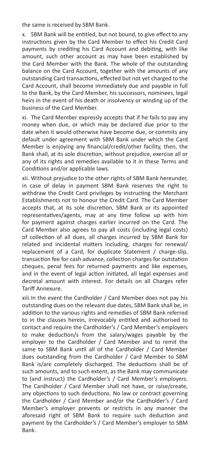the same is received by SBM Bank.

x. SBM Bank will be entitled, but not bound, to give effect to any instructions given by the Card Member to effect his Credit Card payments by crediting his Card Account and debiting, with like amount, such other account as may have been established by the Card Member with the Bank. The whole of the outstanding balance on the Card Account, together with the amounts of any outstanding Card transactions, effected but not yet charged to the Card Account, shall become immediately due and payable in full to the Bank, by the Card Member, his successors, nominees, legal heirs in the event of his death or insolvency or winding up of the business of the Card Member.

xi. The Card Member expressly accepts that if he fails to pay any money when due, or which may be declared due prior to the date when it would otherwise have become due, or commits any default under agreement with SBM Bank under which the Card Member is enjoying any financial/credit/other facility, then, the Bank shall, at its sole discretion, without prejudice, exercise all or any of its rights and remedies available to it in these Terms and Conditions and/or applicable laws.

xii. Without prejudice to the other rights of SBM Bank hereunder, in case of delay in payment SBM Bank reserves the right to withdraw the Credit Card privileges by instructing the Merchant Establishments not to honour the Credit Card. The Card Member accepts that, at its sole discretion, SBM Bank or its appointed representatives/agents, may at any time follow up with him for payment against charges earlier incurred on the Card. The Card Member also agrees to pay all costs (including legal costs) of collection of all dues, all charges incurred by SBM Bank for related and incidental matters including, charges for renewal/ replacement of a Card, for duplicate Statement / charge-slip, transaction fee for cash advance, collection charges for outstation cheques, penal fees for returned payments and like expenses, and in the event of legal action initiated, all legal expenses and decretal amount with interest. For details on all Charges refer Tariff Annexure.

xiii.In the event the Cardholder / Card Member does not pay his outstanding dues on the relevant due dates, SBM Bank shall be, in addition to the various rights and remedies of SBM Bank referred to in the clauses herein, irrevocably entitled and authorised to contact and require the Cardholder's / Card Member's employers to make deduction/s from the salary/wages payable by the employer to the Cardholder / Card Member and to remit the same to SBM Bank until all of the Cardholder / Card Member dues outstanding from the Cardholder / Card Member to SBM Bank is/are completely discharged. The deductions shall be of such amounts, and to such extent, as the Bank may communicate to (and instruct) the Cardholder's / Card Member's employers. The Cardholder / Card Member shall not have, or raise/create, any objections to such deductions. No law or contract governing the Cardholder / Card Member and/or the Cardholder's / Card Member's employer prevents or restricts in any manner the aforesaid right of SBM Bank to require such deduction and payment by the Cardholder's / Card Member's employer to SBM Bank.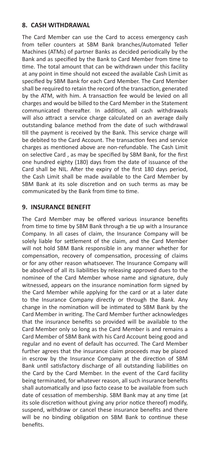### **8. CASH WITHDRAWAL**

The Card Member can use the Card to access emergency cash from teller counters at SBM Bank branches/Automated Teller Machines (ATMs) of partner Banks as decided periodically by the Bank and as specified by the Bank to Card Member from time to time. The total amount that can be withdrawn under this facility at any point in time should not exceed the available Cash Limit as specified by SBM Bank for each Card Member. The Card Member shall be required to retain the record of the transaction, generated by the ATM, with him. A transaction fee would be levied on all charges and would be billed to the Card Member in the Statement communicated thereafter. In addition, all cash withdrawals will also attract a service charge calculated on an average daily outstanding balance method from the date of such withdrawal till the payment is received by the Bank. This service charge will be debited to the Card Account. The transaction fees and service charges as mentioned above are non-refundable. The Cash Limit on selective Card , as may be specified by SBM Bank, for the first one hundred eighty (180) days from the date of issuance of the Card shall be NIL. After the expiry of the first 180 days period, the Cash Limit shall be made available to the Card Member by SBM Bank at its sole discretion and on such terms as may be communicated by the Bank from time to time.

## **9. INSURANCE BENEFIT**

The Card Member may be offered various insurance benefits from time to time by SBM Bank through a tie up with a Insurance Company. In all cases of claim, the Insurance Company will be solely liable for settlement of the claim, and the Card Member will not hold SBM Bank responsible in any manner whether for compensation, recovery of compensation, processing of claims or for any other reason whatsoever. The Insurance Company will be absolved of all its liabilities by releasing approved dues to the nominee of the Card Member whose name and signature, duly witnessed, appears on the insurance nomination form signed by the Card Member while applying for the card or at a later date to the Insurance Company directly or through the Bank. Any change in the nomination will be intimated to SBM Bank by the Card Member in writing. The Card Member further acknowledges that the insurance benefits so provided will be available to the Card Member only so long as the Card Member is and remains a Card Member of SBM Bank with his Card Account being good and regular and no event of default has occurred. The Card Member further agrees that the insurance claim proceeds may be placed in escrow by the Insurance Company at the direction of SBM Bank until satisfactory discharge of all outstanding liabilities on the Card by the Card Member. In the event of the Card facility being terminated, for whatever reason, all such insurance benefits shall automatically and ipso facto cease to be available from such date of cessation of membership. SBM Bank may at any time (at its sole discretion without giving any prior notice thereof) modify, suspend, withdraw or cancel these insurance benefits and there will be no binding obligation on SBM Bank to continue these benefits.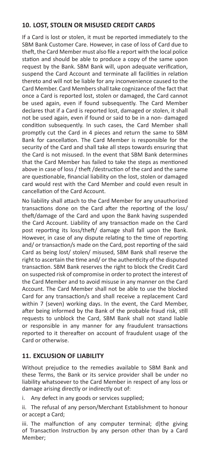# **10. LOST, STOLEN OR MISUSED CREDIT CARDS**

If a Card is lost or stolen, it must be reported immediately to the SBM Bank Customer Care. However, in case of loss of Card due to theft, the Card Member must also file a report with the local police station and should be able to produce a copy of the same upon request by the Bank. SBM Bank will, upon adequate verification, suspend the Card Account and terminate all facilities in relation thereto and will not be liable for any inconvenience caused to the Card Member. Card Members shall take cognizance of the fact that once a Card is reported lost, stolen or damaged, the Card cannot be used again, even if found subsequently. The Card Member declares that if a Card is reported lost, damaged or stolen, it shall not be used again, even if found or said to be in a non- damaged condition subsequently. In such cases, the Card Member shall promptly cut the Card in 4 pieces and return the same to SBM Bank for cancellation. The Card Member is responsible for the security of the Card and shall take all steps towards ensuring that the Card is not misused. In the event that SBM Bank determines that the Card Member has failed to take the steps as mentioned above in case of loss / theft /destruction of the card and the same are questionable, financial liability on the lost, stolen or damaged card would rest with the Card Member and could even result in cancellation of the Card Account.

No liability shall attach to the Card Member for any unauthorized transactions done on the Card after the reporting of the loss/ theft/damage of the Card and upon the Bank having suspended the Card Account. Liability of any transaction made on the Card post reporting its loss/theft/ damage shall fall upon the Bank. However, in case of any dispute relating to the time of reporting and/ or transaction/s made on the Card, post reporting of the said Card as being lost/ stolen/ misused, SBM Bank shall reserve the right to ascertain the time and/ or the authenticity of the disputed transaction. SBM Bank reserves the right to block the Credit Card on suspected risk of compromise in order to protect the interest of the Card Member and to avoid misuse in any manner on the Card Account. The Card Member shall not be able to use the blocked Card for any transaction/s and shall receive a replacement Card within 7 (seven) working days. In the event, the Card Member, after being informed by the Bank of the probable fraud risk, still requests to unblock the Card, SBM Bank shall not stand liable or responsible in any manner for any fraudulent transactions reported to it thereafter on account of fraudulent usage of the Card or otherwise.

# **11. EXCLUSION OF LIABILITY**

Without prejudice to the remedies available to SBM Bank and these Terms, the Bank or its service provider shall be under no liability whatsoever to the Card Member in respect of any loss or damage arising directly or indirectly out of:

i. Any defect in any goods or services supplied;

ii. The refusal of any person/Merchant Establishment to honour or accept a Card;

iii. The malfunction of any computer terminal; d)the giving of Transaction Instruction by any person other than by a Card Member;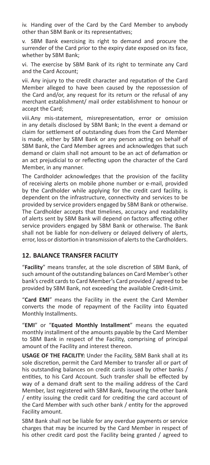iv. Handing over of the Card by the Card Member to anybody other than SBM Bank or its representatives;

v. SBM Bank exercising its right to demand and procure the surrender of the Card prior to the expiry date exposed on its face, whether by SBM Bank;

vi. The exercise by SBM Bank of its right to terminate any Card and the Card Account;

vii. Any injury to the credit character and reputation of the Card Member alleged to have been caused by the repossession of the Card and/or, any request for its return or the refusal of any merchant establishment/ mail order establishment to honour or accept the Card;

viii.Any mis-statement, misrepresentation, error or omission in any details disclosed by SBM Bank; In the event a demand or claim for settlement of outstanding dues from the Card Member is made, either by SBM Bank or any person acting on behalf of SBM Bank, the Card Member agrees and acknowledges that such demand or claim shall not amount to be an act of defamation or an act prejudicial to or reflecting upon the character of the Card Member, in any manner.

The Cardholder acknowledges that the provision of the facility of receiving alerts on mobile phone number or e-mail, provided by the Cardholder while applying for the credit card facility, is dependent on the infrastructure, connectivity and services to be provided by service providers engaged by SBM Bank or otherwise. The Cardholder accepts that timelines, accuracy and readability of alerts sent by SBM Bank will depend on factors affecting other service providers engaged by SBM Bank or otherwise. The Bank shall not be liable for non-delivery or delayed delivery of alerts, error, loss or distortion in transmission of alerts to the Cardholders.

### **12. BALANCE TRANSFER FACILITY**

"**Facility**" means transfer, at the sole discretion of SBM Bank, of such amount of the outstanding balances on Card Member's other bank's credit cards to Card Member's Card provided / agreed to be provided by SBM Bank, not exceeding the available Credit-Limit.

"**Card EMI**" means the Facility in the event the Card Member converts the mode of repayment of the Facility into Equated Monthly Installments.

"**EMI**" or "**Equated Monthly Installment**" means the equated monthly installment of the amounts payable by the Card Member to SBM Bank in respect of the Facility, comprising of principal amount of the Facility and interest thereon.

**USAGE OF THE FACILITY:** Under the Facility, SBM Bank shall at its sole discretion, permit the Card Member to transfer all or part of his outstanding balances on credit cards issued by other banks / entities, to his Card Account. Such transfer shall be effected by way of a demand draft sent to the mailing address of the Card Member, last registered with SBM Bank, favouring the other bank / entity issuing the credit card for crediting the card account of the Card Member with such other bank / entity for the approved Facility amount.

SBM Bank shall not be liable for any overdue payments or service charges that may be incurred by the Card Member in respect of his other credit card post the Facility being granted / agreed to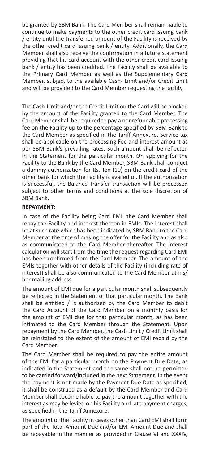be granted by SBM Bank. The Card Member shall remain liable to continue to make payments to the other credit card issuing bank / entity until the transferred amount of the Facility is received by the other credit card issuing bank / entity. Additionally, the Card Member shall also receive the confirmation in a future statement providing that his card account with the other credit card issuing bank / entity has been credited. The Facility shall be available to the Primary Card Member as well as the Supplementary Card Member, subject to the available Cash- Limit and/or Credit Limit and will be provided to the Card Member requesting the facility.

The Cash-Limit and/or the Credit-Limit on the Card will be blocked by the amount of the Facility granted to the Card Member. The Card Member shall be required to pay a nonrefundable processing fee on the Facility up to the percentage specified by SBM Bank to the Card Member as specified in the Tariff Annexure. Service tax shall be applicable on the processing Fee and interest amount as per SBM Bank's prevailing rates. Such amount shall be reflected in the Statement for the particular month. On applying for the Facility to the Bank by the Card Member, SBM Bank shall conduct a dummy authorization for Rs. Ten (10) on the credit card of the other bank for which the Facility is availed of. If the authorization is successful, the Balance Transfer transaction will be processed subject to other terms and conditions at the sole discretion of SBM Bank.

#### **REPAYMENT:**

In case of the Facility being Card EMI, the Card Member shall repay the Facility and interest thereon in EMIs. The interest shall be at such rate which has been indicated by SBM Bank to the Card Member at the time of making the offer for the Facility and as also as communicated to the Card Member thereafter. The interest calculation will start from the time the request regarding Card EMI has been confirmed from the Card Member. The amount of the EMIs together with other details of the Facility (including rate of interest) shall be also communicated to the Card Member at his/ her mailing address.

The amount of EMI due for a particular month shall subsequently be reflected in the Statement of that particular month. The Bank shall be entitled / is authorised by the Card Member to debit the Card Account of the Card Member on a monthly basis for the amount of EMI due for that particular month, as has been intimated to the Card Member through the Statement. Upon repayment by the Card Member, the Cash Limit / Credit Limit shall be reinstated to the extent of the amount of EMI repaid by the Card Member.

The Card Member shall be required to pay the entire amount of the EMI for a particular month on the Payment Due Date, as indicated in the Statement and the same shall not be permitted to be carried forward/included in the next Statement. In the event the payment is not made by the Payment Due Date as specified, it shall be construed as a default by the Card Member and Card Member shall become liable to pay the amount together with the interest as may be levied on his Facility and late payment charges, as specified in the Tariff Annexure.

The amount of the Facility in cases other than Card EMI shall form part of the Total Amount Due and/or EMI Amount Due and shall be repayable in the manner as provided in Clause VI and XXXIV,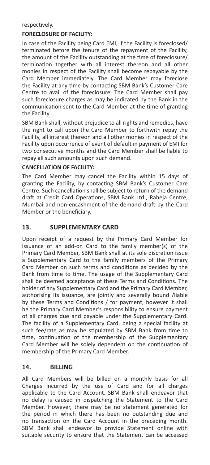respectively.

#### **FORECLOSURE OF FACILITY:**

In case of the Facility being Card EMI, if the Facility is foreclosed/ terminated before the tenure of the repayment of the Facility, the amount of the Facility outstanding at the time of foreclosure/ termination together with all interest thereon and all other monies in respect of the Facility shall become repayable by the Card Member immediately. The Card Member may foreclose the Facility at any time by contacting SBM Bank's Customer Care Centre to avail of the foreclosure. The Card Member shall pay such foreclosure charges as may be indicated by the Bank in the communication sent to the Card Member at the time of granting the Facility.

SBM Bank shall, without prejudice to all rights and remedies, have the right to call upon the Card Member to forthwith repay the Facility, all interest thereon and all other monies in respect of the Facility upon occurrence of event of default in payment of EMI for two consecutive months and the Card Member shall be liable to repay all such amounts upon such demand.

#### **CANCELLATION OF FACILITY:**

The Card Member may cancel the Facility within 15 days of granting the Facility, by contacting SBM Bank's Customer Care Centre. Such cancellation shall be subject to return of the demand draft at Credit Card Operations, SBM Bank Ltd., Raheja Centre, Mumbai and non-encashment of the demand draft by the Card Member or the beneficiary.

#### **13. SUPPLEMENTARY CARD**

Upon receipt of a request by the Primary Card Member for issuance of an add-on Card to the family member(s) of the Primary Card Member, SBM Bank shall at its sole discretion issue a Supplementary Card to the family members of the Primary Card Member on such terms and conditions as decided by the Bank from time to time. The usage of the Supplementary Card shall be deemed acceptance of these Terms and Conditions. The holder of any Supplementary Card and the Primary Card Member, authorising its issuance, are jointly and severally bound /liable by these Terms and Conditions / for payment, however it shall be the Primary Card Member's responsibility to ensure payment of all charges due and payable under the Supplementary Card. The facility of a Supplementary Card, being a special facility at such fee/rate as may be stipulated by SBM Bank from time to time, continuation of the membership of the Supplementary Card Member will be solely dependent on the continuation of membership of the Primary Card Member.

#### **14. BILLING**

All Card Members will be billed on a monthly basis for all Charges incurred by the use of Card and for all charges applicable to the Card Account. SBM Bank shall endeavor that no delay is caused in dispatching the Statement to the Card Member. However, there may be no statement generated for the period in which there has been no outstanding due and no transaction on the Card Account in the preceding month. SBM Bank shall endeavor to provide Statement online with suitable security to ensure that the Statement can be accessed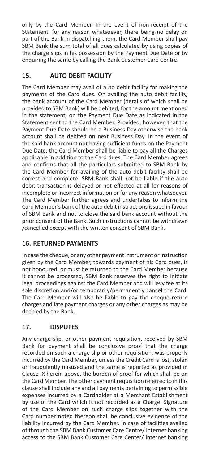only by the Card Member. In the event of non-receipt of the Statement, for any reason whatsoever, there being no delay on part of the Bank in dispatching them, the Card Member shall pay SBM Bank the sum total of all dues calculated by using copies of the charge slips in his possession by the Payment Due Date or by enquiring the same by calling the Bank Customer Care Centre.

# **15. AUTO DEBIT FACILITY**

The Card Member may avail of auto debit facility for making the payments of the Card dues. On availing the auto debit facility, the bank account of the Card Member (details of which shall be provided to SBM Bank) will be debited, for the amount mentioned in the statement, on the Payment Due Date as indicated in the Statement sent to the Card Member. Provided, however, that the Payment Due Date should be a Business Day otherwise the bank account shall be debited on next Business Day. In the event of the said bank account not having sufficient funds on the Payment Due Date, the Card Member shall be liable to pay all the Charges applicable in addition to the Card dues. The Card Member agrees and confirms that all the particulars submitted to SBM Bank by the Card Member for availing of the auto debit facility shall be correct and complete. SBM Bank shall not be liable if the auto debit transaction is delayed or not effected at all for reasons of incomplete or incorrect information or for any reason whatsoever. The Card Member further agrees and undertakes to inform the Card Member's bank of the auto debit instructions issued in favour of SBM Bank and not to close the said bank account without the prior consent of the Bank. Such instructions cannot be withdrawn /cancelled except with the written consent of SBM Bank.

# **16. RETURNED PAYMENTS**

In case the cheque, or any other payment instrument or instruction given by the Card Member, towards payment of his Card dues, is not honoured, or must be returned to the Card Member because it cannot be processed, SBM Bank reserves the right to initiate legal proceedings against the Card Member and will levy fee at its sole discretion and/or temporarily/permanently cancel the Card. The Card Member will also be liable to pay the cheque return charges and late payment charges or any other charges as may be decided by the Bank.

# **17. DISPUTES**

Any charge slip, or other payment requisition, received by SBM Bank for payment shall be conclusive proof that the charge recorded on such a charge slip or other requisition, was properly incurred by the Card Member, unless the Credit Card is lost, stolen or fraudulently misused and the same is reported as provided in Clause IX herein above, the burden of proof for which shall be on the Card Member. The other payment requisition referred to in this clause shall include any and all payments pertaining to permissible expenses incurred by a Cardholder at a Merchant Establishment by use of the Card which is not recorded as a Charge. Signature of the Card Member on such charge slips together with the Card number noted thereon shall be conclusive evidence of the liability incurred by the Card Member. In case of facilities availed of through the SBM Bank Customer Care Centre/ internet banking access to the SBM Bank Customer Care Center/ internet banking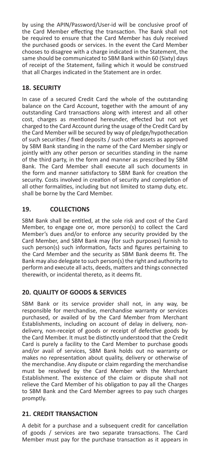by using the APIN/Password/User-id will be conclusive proof of the Card Member effecting the transaction. The Bank shall not be required to ensure that the Card Member has duly received the purchased goods or services. In the event the Card Member chooses to disagree with a charge indicated in the Statement, the same should be communicated to SBM Bank within 60 (Sixty) days of receipt of the Statement, failing which it would be construed that all Charges indicated in the Statement are in order.

# **18. SECURITY**

In case of a secured Credit Card the whole of the outstanding balance on the Card Account, together with the amount of any outstanding Card transactions along with interest and all other cost, charges as mentioned hereunder, effected but not yet charged to the Card Account during the usage of the Credit Card by the Card Member will be secured by way of pledge/hypothecation of such securities / fixed deposits / such other assets as approved by SBM Bank standing in the name of the Card Member singly or jointly with any other person or securities standing in the name of the third party, in the form and manner as prescribed by SBM Bank. The Card Member shall execute all such documents in the form and manner satisfactory to SBM Bank for creation the security. Costs involved in creation of security and completion of all other formalities, including but not limited to stamp duty, etc. shall be borne by the Card Member.

# **19. COLLECTIONS**

SBM Bank shall be entitled, at the sole risk and cost of the Card Member, to engage one or, more person(s) to collect the Card Member's dues and/or to enforce any security provided by the Card Member, and SBM Bank may (for such purposes) furnish to such person(s) such information, facts and figures pertaining to the Card Member and the security as SBM Bank deems fit. The Bank may also delegate to such person(s) the right and authority to perform and execute all acts, deeds, matters and things connected therewith, or incidental thereto, as it deems fit.

### **20. QUALITY OF GOODS & SERVICES**

SBM Bank or its service provider shall not, in any way, be responsible for merchandise, merchandise warranty or services purchased, or availed of by the Card Member from Merchant Establishments, including on account of delay in delivery, nondelivery, non-receipt of goods or receipt of defective goods by the Card Member. It must be distinctly understood that the Credit Card is purely a facility to the Card Member to purchase goods and/or avail of services, SBM Bank holds out no warranty or makes no representation about quality, delivery or otherwise of the merchandise. Any dispute or claim regarding the merchandise must be resolved by the Card Member with the Merchant Establishment. The existence of the claim or dispute shall not relieve the Card Member of his obligation to pay all the Charges to SBM Bank and the Card Member agrees to pay such charges promptly.

### **21. CREDIT TRANSACTION**

A debit for a purchase and a subsequent credit for cancellation of goods / services are two separate transactions. The Card Member must pay for the purchase transaction as it appears in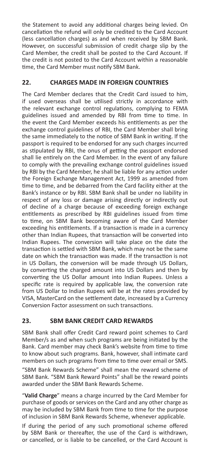the Statement to avoid any additional charges being levied. On cancellation the refund will only be credited to the Card Account (less cancellation charges) as and when received by SBM Bank. However, on successful submission of credit charge slip by the Card Member, the credit shall be posted to the Card Account. If the credit is not posted to the Card Account within a reasonable time, the Card Member must notify SBM Bank.

# **22. CHARGES MADE IN FOREIGN COUNTRIES**

The Card Member declares that the Credit Card issued to him, if used overseas shall be utilised strictly in accordance with the relevant exchange control regulations, complying to FEMA guidelines issued and amended by RBI from time to time. In the event the Card Member exceeds his entitlements as per the exchange control guidelines of RBI, the Card Member shall bring the same immediately to the notice of SBM Bank in writing. If the passport is required to be endorsed for any such charges incurred as stipulated by RBI, the onus of getting the passport endorsed shall lie entirely on the Card Member. In the event of any failure to comply with the prevailing exchange control guidelines issued by RBI by the Card Member, he shall be liable for any action under the Foreign Exchange Management Act, 1999 as amended from time to time, and be debarred from the Card facility either at the Bank's instance or by RBI. SBM Bank shall be under no liability in respect of any loss or damage arising directly or indirectly out of decline of a charge because of exceeding foreign exchange entitlements as prescribed by RBI guidelines issued from time to time, on SBM Bank becoming aware of the Card Member exceeding his entitlements. If a transaction is made in a currency other than Indian Rupees, that transaction will be converted into Indian Rupees. The conversion will take place on the date the transaction is settled with SBM Bank, which may not be the same date on which the transaction was made. If the transaction is not in US Dollars, the conversion will be made through US Dollars, by converting the charged amount into US Dollars and then by converting the US Dollar amount into Indian Rupees. Unless a specific rate is required by applicable law, the conversion rate from US Dollar to Indian Rupees will be at the rates provided by VISA, MasterCard on the settlement date, increased by a Currency Conversion Factor assessment on such transactions.

# **23. SBM BANK CREDIT CARD REWARDS**

SBM Bank shall offer Credit Card reward point schemes to Card Member/s as and when such programs are being initiated by the Bank. Card member may check Bank's website from time to time to know about such programs. Bank, however, shall intimate card members on such programs from time to time over email or SMS.

"SBM Bank Rewards Scheme" shall mean the reward scheme of SBM Bank. "SBM Bank Reward Points" shall be the reward points awarded under the SBM Bank Rewards Scheme.

"**Valid Charge**" means a charge incurred by the Card Member for purchase of goods or services on the Card and any other charge as may be included by SBM Bank from time to time for the purpose of inclusion in SBM Bank Rewards Scheme, whenever applicable.

If during the period of any such promotional scheme offered by SBM Bank or thereafter, the use of the Card is withdrawn, or cancelled, or is liable to be cancelled, or the Card Account is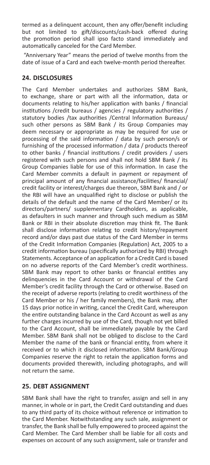termed as a delinquent account, then any offer/benefit including but not limited to gift/discounts/cash-back offered during the promotion period shall ipso facto stand immediately and automatically canceled for the Card Member.

 "Anniversary Year" means the period of twelve months from the date of issue of a Card and each twelve-month period thereafter.

# **24. DISCLOSURES**

The Card Member undertakes and authorizes SBM Bank, to exchange, share or part with all the information, data or documents relating to his/her application with banks / financial institutions /credit bureaus / agencies / regulatory authorities / statutory bodies /tax authorities /Central Information Bureaus/ such other persons as SBM Bank / its Group Companies may deem necessary or appropriate as may be required for use or processing of the said information / data by such person/s or furnishing of the processed information / data / products thereof to other banks / financial institutions / credit providers / users registered with such persons and shall not hold SBM Bank / its Group Companies liable for use of this information. In case the Card Member commits a default in payment or repayment of principal amount of any financial assistance/facilities/ financial/ credit facility or interest/charges due thereon, SBM Bank and / or the RBI will have an unqualified right to disclose or publish the details of the default and the name of the Card Member/ or its directors/partners/ supplementary Cardholders, as applicable, as defaulters in such manner and through such medium as SBM Bank or RBI in their absolute discretion may think fit. The Bank shall disclose information relating to credit history/repayment record and/or days past due status of the Card Member in terms of the Credit Information Companies (Regulation) Act, 2005 to a credit information bureau (specifically authorized by RBI) through Statements. Acceptance of an application for a Credit Card is based on no adverse reports of the Card Member's credit worthiness. SBM Bank may report to other banks or financial entities any delinquencies in the Card Account or withdrawal of the Card Member's credit facility through the Card or otherwise. Based on the receipt of adverse reports (relating to credit worthiness of the Card Member or his / her family members), the Bank may, after 15 days prior notice in writing, cancel the Credit Card, whereupon the entire outstanding balance in the Card Account as well as any further charges incurred by use of the Card, though not yet billed to the Card Account, shall be immediately payable by the Card Member. SBM Bank shall not be obliged to disclose to the Card Member the name of the bank or financial entity, from where it received or to which it disclosed information. SBM Bank/Group Companies reserve the right to retain the application forms and documents provided therewith, including photographs, and will not return the same.

# **25. DEBT ASSIGNMENT**

SBM Bank shall have the right to transfer, assign and sell in any manner, in whole or in part, the Credit Card outstanding and dues to any third party of its choice without reference or intimation to the Card Member. Notwithstanding any such sale, assignment or transfer, the Bank shall be fully empowered to proceed against the Card Member. The Card Member shall be liable for all costs and expenses on account of any such assignment, sale or transfer and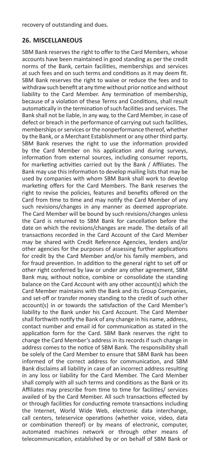recovery of outstanding and dues.

### **26. MISCELLANEOUS**

SBM Bank reserves the right to offer to the Card Members, whose accounts have been maintained in good standing as per the credit norms of the Bank, certain facilities, memberships and services at such fees and on such terms and conditions as it may deem fit. SBM Bank reserves the right to waive or reduce the fees and to withdraw such benefit at any time without prior notice and without liability to the Card Member. Any termination of membership, because of a violation of these Terms and Conditions, shall result automatically in the termination of such facilities and services. The Bank shall not be liable, in any way, to the Card Member, in case of defect or breach in the performance of carrying out such facilities, memberships or services or the nonperformance thereof, whether by the Bank, or a Merchant Establishment or any other third party. SBM Bank reserves the right to use the information provided by the Card Member on his application and during surveys, information from external sources, including consumer reports, for marketing activities carried out by the Bank / Affiliates. The Bank may use this information to develop mailing lists that may be used by companies with whom SBM Bank shall work to develop marketing offers for the Card Members. The Bank reserves the right to revise the policies, features and benefits offered on the Card from time to time and may notify the Card Member of any such revisions/changes in any manner as deemed appropriate. The Card Member will be bound by such revisions/changes unless the Card is returned to SBM Bank for cancellation before the date on which the revisions/changes are made. The details of all transactions recorded in the Card Account of the Card Member may be shared with Credit Reference Agencies, lenders and/or other agencies for the purposes of assessing further applications for credit by the Card Member and/or his family members, and for fraud prevention. In addition to the general right to set off or other right conferred by law or under any other agreement, SBM Bank may, without notice, combine or consolidate the standing balance on the Card Account with any other account(s) which the Card Member maintains with the Bank and its Group Companies, and set-off or transfer money standing to the credit of such other account(s) in or towards the satisfaction of the Card Member's liability to the Bank under his Card Account. The Card Member shall forthwith notify the Bank of any change in his name, address, contact number and email id for communication as stated in the application form for the Card. SBM Bank reserves the right to change the Card Member's address in its records if such change in address comes to the notice of SBM Bank. The responsibility shall be solely of the Card Member to ensure that SBM Bank has been informed of the correct address for communication, and SBM Bank disclaims all liability in case of an incorrect address resulting in any loss or liability for the Card Member. The Card Member shall comply with all such terms and conditions as the Bank or its Affiliates may prescribe from time to time for facilities/ services availed of by the Card Member. All such transactions effected by or through facilities for conducting remote transactions including the Internet, World Wide Web, electronic data interchange, call centers, teleservice operations (whether voice, video, data or combination thereof) or by means of electronic, computer, automated machines network or through other means of telecommunication, established by or on behalf of SBM Bank or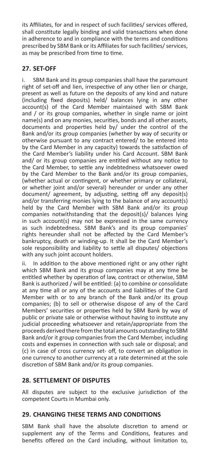its Affiliates, for and in respect of such facilities/ services offered, shall constitute legally binding and valid transactions when done in adherence to and in compliance with the terms and conditions prescribed by SBM Bank or its Affiliates for such facilities/ services, as may be prescribed from time to time.

## **27. SET-OFF**

SBM Bank and its group companies shall have the paramount right of set-off and lien, irrespective of any other lien or charge, present as well as future on the deposits of any kind and nature (including fixed deposits) held/ balances lying in any other account(s) of the Card Member maintained with SBM Bank and / or its group companies, whether in single name or joint name(s) and on any monies, securities, bonds and all other assets, documents and properties held by/ under the control of the Bank and/or its group companies (whether by way of security or otherwise pursuant to any contract entered/ to be entered into by the Card Member in any capacity) towards the satisfaction of the Card Member's liability under his Card Account. SBM Bank and/ or its group companies are entitled without any notice to the Card Member, to settle any indebtedness whatsoever owed by the Card Member to the Bank and/or its group companies, (whether actual or contingent, or whether primary or collateral, or whether joint and/or several) hereunder or under any other document/ agreement, by adjusting, setting off any deposit(s) and/or transferring monies lying to the balance of any account(s) held by the Card Member with SBM Bank and/or its group companies notwithstanding that the deposit(s)/ balances lying in such account(s) may not be expressed in the same currency as such indebtedness. SBM Bank's and its group companies' rights hereunder shall not be affected by the Card Member's bankruptcy, death or winding-up. It shall be the Card Member's sole responsibility and liability to settle all disputes/ objections with any such joint account holders.

ii. In addition to the above mentioned right or any other right which SBM Bank and its group companies may at any time be entitled whether by operation of law, contract or otherwise, SBM Bank is authorized / will be entitled: (a) to combine or consolidate at any time all or any of the accounts and liabilities of the Card Member with or to any branch of the Bank and/or its group companies; (b) to sell or otherwise dispose of any of the Card Members' securities or properties held by SBM Bank by way of public or private sale or otherwise without having to institute any judicial proceeding whatsoever and retain/appropriate from the proceeds derived there from the total amounts outstanding to SBM Bank and/or it group companies from the Card Member, including costs and expenses in connection with such sale or disposal; and (c) in case of cross currency set- off, to convert an obligation in one currency to another currency at a rate determined at the sole discretion of SBM Bank and/or its group companies.

### **28. SETTLEMENT OF DISPUTES**

All disputes are subject to the exclusive jurisdiction of the competent Courts in Mumbai only.

### **29. CHANGING THESE TERMS AND CONDITIONS**

SBM Bank shall have the absolute discretion to amend or supplement any of the Terms and Conditions, features and benefits offered on the Card including, without limitation to,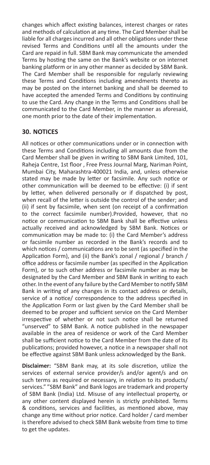changes which affect existing balances, interest charges or rates and methods of calculation at any time. The Card Member shall be liable for all charges incurred and all other obligations under these revised Terms and Conditions until all the amounts under the Card are repaid in full. SBM Bank may communicate the amended Terms by hosting the same on the Bank's website or on internet banking platform or in any other manner as decided by SBM Bank. The Card Member shall be responsible for regularly reviewing these Terms and Conditions including amendments thereto as may be posted on the internet banking and shall be deemed to have accepted the amended Terms and Conditions by continuing to use the Card. Any change in the Terms and Conditions shall be communicated to the Card Member, in the manner as aforesaid, one month prior to the date of their implementation.

### **30. NOTICES**

All notices or other communications under or in connection with these Terms and Conditions including all amounts due from the Card Member shall be given in writing to SBM Bank Limited, 101, Raheja Centre, 1st floor , Free Press Journal Marg, Nariman Point, Mumbai City, Maharashtra-400021 India, and, unless otherwise stated may be made by letter or facsimile. Any such notice or other communication will be deemed to be effective: (i) if sent by letter, when delivered personally or if dispatched by post, when recall of the letter is outside the control of the sender; and (ii) if sent by facsimile, when sent (on receipt of a confirmation to the correct facsimile number).Provided, however, that no notice or communication to SBM Bank shall be effective unless actually received and acknowledged by SBM Bank. Notices or communication may be made to: (i) the Card Member's address or facsimile number as recorded in the Bank's records and to which notices / communications are to be sent (as specified in the Application Form), and (ii) the Bank's zonal / regional / branch / office address or facsimile number (as specified in the Application Form), or to such other address or facsimile number as may be designated by the Card Member and SBM Bank in writing to each other. In the event of any failure by the Card Member to notify SBM Bank in writing of any changes in its contact address or details, service of a notice/ correspondence to the address specified in the Application Form or last given by the Card Member shall be deemed to be proper and sufficient service on the Card Member irrespective of whether or not such notice shall be returned "unserved" to SBM Bank. A notice published in the newspaper available in the area of residence or work of the Card Member shall be sufficient notice to the Card Member from the date of its publications; provided however, a notice in a newspaper shall not be effective against SBM Bank unless acknowledged by the Bank.

**Disclaimer:** "SBM Bank may, at its sole discretion, utilize the services of external service provider/s and/or agent/s and on such terms as required or necessary, in relation to its products/ services." "SBM Bank" and Bank logos are trademark and property of SBM Bank (India) Ltd. Misuse of any intellectual property, or any other content displayed herein is strictly prohibited. Terms & conditions, services and facilities, as mentioned above, may change any time without prior notice. Card holder / card member is therefore advised to check SBM Bank website from time to time to get the updates.